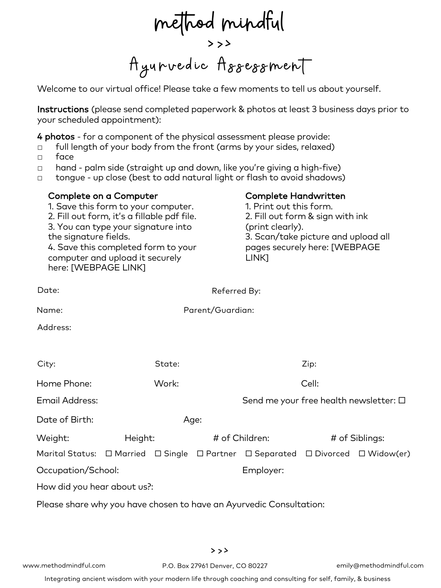method mindful<br>>>><br>Ayurvedic Assessment

Welcome to our virtual office! Please take a few moments to tell us about yourself.

Instructions (please send completed paperwork & photos at least 3 business days prior to your scheduled appointment):

> Complete Handwritten 1. Print out this form.

4 photos - for a component of the physical assessment please provide:

- □ full length of your body from the front (arms by your sides, relaxed)
- □ face

Complete on a Computer

1. Save this form to your computer.

- □ hand palm side (straight up and down, like you're giving a high-five)
- □ tongue up close (best to add natural light or flash to avoid shadows)

| the signature fields.<br>here: [WEBPAGE LINK]                       |      | 2. Fill out form & sign with ink<br>(print clearly).<br>3. Scan/take picture and upload all<br>pages securely here: [WEBPAGE<br>LINK] |                                                                                                                                                                 |                                                    |                                                                                                                    |  |  |  |
|---------------------------------------------------------------------|------|---------------------------------------------------------------------------------------------------------------------------------------|-----------------------------------------------------------------------------------------------------------------------------------------------------------------|----------------------------------------------------|--------------------------------------------------------------------------------------------------------------------|--|--|--|
|                                                                     |      |                                                                                                                                       |                                                                                                                                                                 |                                                    |                                                                                                                    |  |  |  |
|                                                                     |      |                                                                                                                                       |                                                                                                                                                                 |                                                    |                                                                                                                    |  |  |  |
|                                                                     |      |                                                                                                                                       |                                                                                                                                                                 |                                                    |                                                                                                                    |  |  |  |
|                                                                     |      |                                                                                                                                       |                                                                                                                                                                 |                                                    |                                                                                                                    |  |  |  |
| State:                                                              |      |                                                                                                                                       | Zip:                                                                                                                                                            |                                                    |                                                                                                                    |  |  |  |
| Work:                                                               |      |                                                                                                                                       | Cell:                                                                                                                                                           |                                                    |                                                                                                                    |  |  |  |
|                                                                     |      |                                                                                                                                       |                                                                                                                                                                 |                                                    |                                                                                                                    |  |  |  |
|                                                                     | Age: |                                                                                                                                       |                                                                                                                                                                 |                                                    |                                                                                                                    |  |  |  |
| Height:                                                             |      |                                                                                                                                       |                                                                                                                                                                 | # of Siblings:                                     |                                                                                                                    |  |  |  |
|                                                                     |      |                                                                                                                                       |                                                                                                                                                                 |                                                    |                                                                                                                    |  |  |  |
| Occupation/School:                                                  |      |                                                                                                                                       | Employer:                                                                                                                                                       |                                                    |                                                                                                                    |  |  |  |
|                                                                     |      |                                                                                                                                       |                                                                                                                                                                 |                                                    |                                                                                                                    |  |  |  |
| Please share why you have chosen to have an Ayurvedic Consultation: |      |                                                                                                                                       |                                                                                                                                                                 |                                                    |                                                                                                                    |  |  |  |
|                                                                     |      |                                                                                                                                       |                                                                                                                                                                 |                                                    |                                                                                                                    |  |  |  |
|                                                                     |      | computer and upload it securely<br>How did you hear about us?:                                                                        | 2. Fill out form, it's a fillable pdf file.<br>3. You can type your signature into<br>4. Save this completed form to your<br>Marital Status: □ Married □ Single | Referred By:<br>Parent/Guardian:<br># of Children: | Send me your free health newsletter: $\square$<br>$\Box$ Partner $\Box$ Separated $\Box$ Divorced $\Box$ Widow(er) |  |  |  |